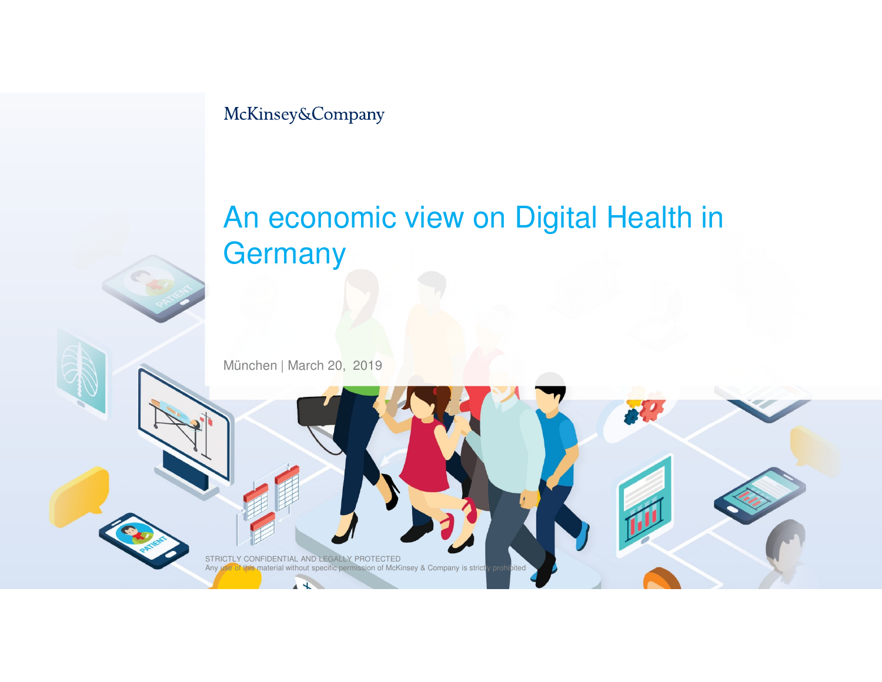McKinsey&Company

## An economic view on Digital Health in **Germany**

München | March 20, 2019

STRICTLY CONFIDENTIAL AND LEGALLY PROTECTED<br>Any use of this material without specific permission of McKinsey & Company is strictly prohibited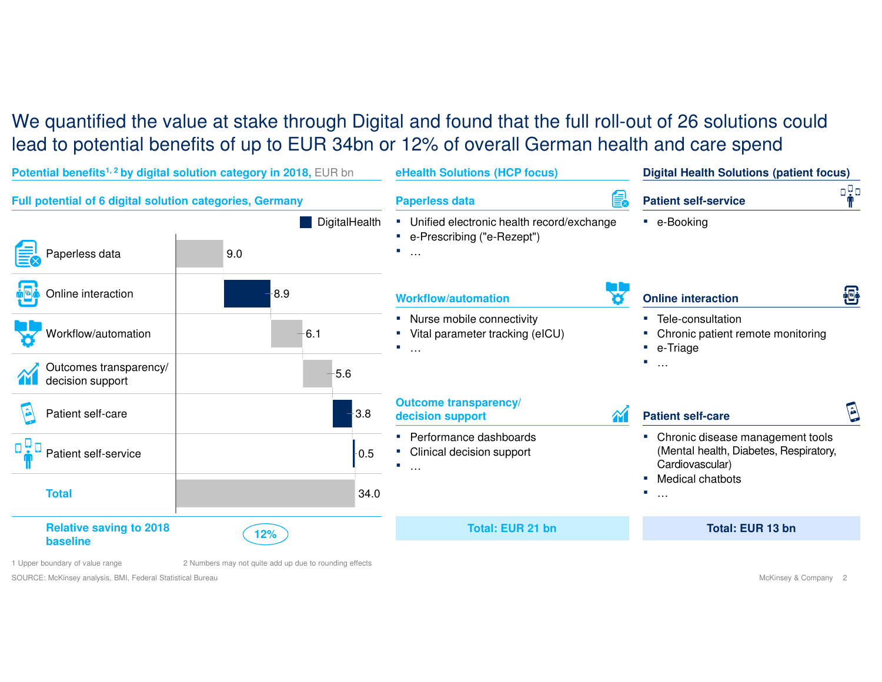#### We quantified the value at stake through Digital and found that the full roll-out of 26 solutions could lead to potential benefits of up to EUR 34bn or 12% of overall German health and care spend



1 Upper boundary of value range 2 Numbers may not quite add up due to rounding effects

SOURCE: McKinsey analysis, BMI, Federal Statistical Bureau

McKinsey & Company <sup>2</sup>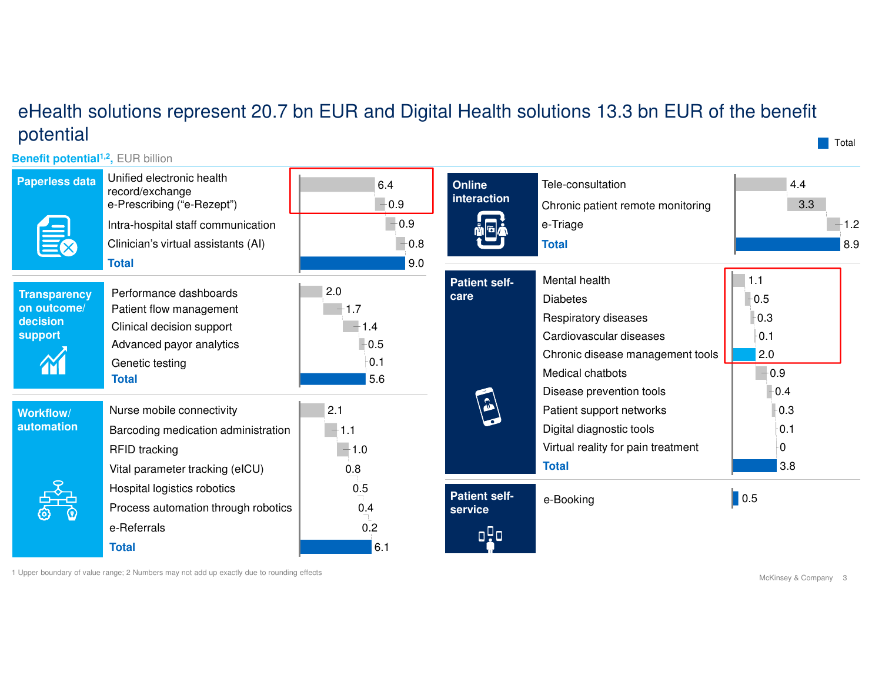#### eHealth solutions represent 20.7 bn EUR and Digital Health solutions 13.3 bn EUR of the benefit potential

**Benefit potential1,2,** EUR billion

| <b>Paperless data</b>                                     | Unified electronic health<br>record/exchange<br>e-Prescribing ("e-Rezept")<br>Intra-hospital staff communication<br>Clinician's virtual assistants (AI)<br><b>Total</b> | 6.4<br>$-0.9$<br>$-0.9$<br>$-0.8$<br>9.0  | <b>Online</b><br>interaction           | Tele-consultation<br>Chronic patient remote monitoring<br>e-Triage<br><b>Total</b>                                                          | 4.4<br>3.3<br>1.2<br>8.9                               |
|-----------------------------------------------------------|-------------------------------------------------------------------------------------------------------------------------------------------------------------------------|-------------------------------------------|----------------------------------------|---------------------------------------------------------------------------------------------------------------------------------------------|--------------------------------------------------------|
| <b>Transparency</b><br>on outcome/<br>decision<br>support | Performance dashboards<br>Patient flow management<br>Clinical decision support<br>Advanced payor analytics<br>Genetic testing<br><b>Total</b>                           | 2.0<br>1.7<br>1.4<br>$-0.5$<br>0.1<br>5.6 | <b>Patient self-</b><br>care           | Mental health<br><b>Diabetes</b><br>Respiratory diseases<br>Cardiovascular diseases<br>Chronic disease management tools<br>Medical chatbots | 1.1<br>0.5<br>$-0.3$<br>$-0.1$<br>2.0<br>$-0.9$<br>0.4 |
| <b>Workflow/</b><br>automation                            | Nurse mobile connectivity<br>Barcoding medication administration<br><b>RFID</b> tracking<br>Vital parameter tracking (eICU)                                             | 2.1<br>1.1<br>$-1.0$<br>0.8               | $\mathbf{G}$                           | Disease prevention tools<br>Patient support networks<br>Digital diagnostic tools<br>Virtual reality for pain treatment<br><b>Total</b>      | $-0.3$<br>0.1<br>-0<br>3.8                             |
|                                                           | Hospital logistics robotics<br>Process automation through robotics<br>e-Referrals<br><b>Total</b>                                                                       | 0.5<br>0.4<br>0.2<br>6.1                  | <b>Patient self-</b><br>service<br>oňa | e-Booking                                                                                                                                   | $\blacksquare$ 0.5                                     |

1 Upper boundary of value range; 2 Numbers may not add up exactly due to rounding effects

**T**otal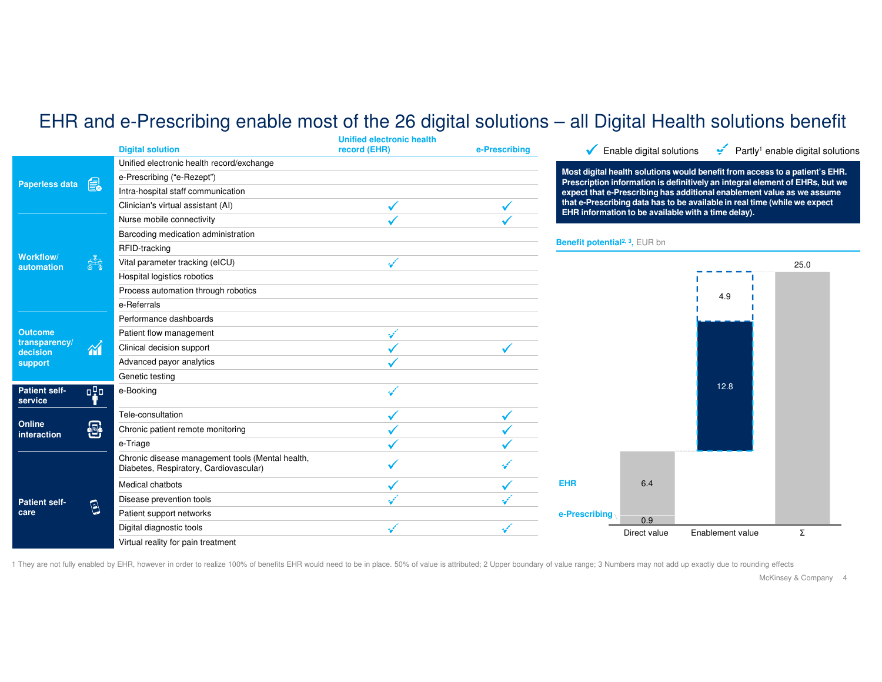### EHR and e-Prescribing enable most of the 26 digital solutions – all Digital Health solutions benefit

|                                                       |            |                                                                                            | Unified electronic health |               |                                                                                                                                                             |                                               |                  |                                                                        |
|-------------------------------------------------------|------------|--------------------------------------------------------------------------------------------|---------------------------|---------------|-------------------------------------------------------------------------------------------------------------------------------------------------------------|-----------------------------------------------|------------------|------------------------------------------------------------------------|
|                                                       |            | <b>Digital solution</b>                                                                    | record (EHR)              | e-Prescribing |                                                                                                                                                             | $\sqrt{\phantom{a}}$ Enable digital solutions |                  | Partly <sup>1</sup> enable digital solutions                           |
| 的<br>Paperless data                                   |            | Unified electronic health record/exchange                                                  |                           |               |                                                                                                                                                             |                                               |                  |                                                                        |
|                                                       |            | e-Prescribing ("e-Rezept")                                                                 |                           |               | Most digital health solutions would benefit from access to a patient's EHR.<br>Prescription information is definitively an integral element of EHRs, but we |                                               |                  |                                                                        |
|                                                       |            | Intra-hospital staff communication                                                         |                           |               |                                                                                                                                                             |                                               |                  | expect that e-Prescribing has additional enablement value as we assume |
|                                                       |            | Clinician's virtual assistant (AI)                                                         |                           |               | that e-Prescribing data has to be available in real time (while we expect<br>EHR information to be available with a time delay).                            |                                               |                  |                                                                        |
| Workflow/<br>automation                               |            | Nurse mobile connectivity                                                                  |                           |               |                                                                                                                                                             |                                               |                  |                                                                        |
|                                                       |            | Barcoding medication administration                                                        |                           |               |                                                                                                                                                             |                                               |                  |                                                                        |
|                                                       |            | RFID-tracking                                                                              |                           |               | Benefit potential <sup>2, 3</sup> , EUR bn                                                                                                                  |                                               |                  |                                                                        |
|                                                       | ಣ್ಣಿ       | Vital parameter tracking (eICU)                                                            |                           |               |                                                                                                                                                             |                                               |                  | 25.0                                                                   |
|                                                       |            | Hospital logistics robotics                                                                |                           |               |                                                                                                                                                             |                                               |                  |                                                                        |
|                                                       |            | Process automation through robotics                                                        |                           |               |                                                                                                                                                             |                                               | 4.9              |                                                                        |
|                                                       |            | e-Referrals                                                                                |                           |               |                                                                                                                                                             |                                               |                  |                                                                        |
| <b>Outcome</b><br>transparency<br>decision<br>support |            | Performance dashboards                                                                     |                           |               |                                                                                                                                                             |                                               |                  |                                                                        |
|                                                       |            | Patient flow management                                                                    |                           |               |                                                                                                                                                             |                                               |                  |                                                                        |
|                                                       | $\gamma$   | Clinical decision support                                                                  |                           |               |                                                                                                                                                             |                                               |                  |                                                                        |
|                                                       |            | Advanced payor analytics                                                                   |                           |               |                                                                                                                                                             |                                               |                  |                                                                        |
|                                                       |            | Genetic testing                                                                            |                           |               |                                                                                                                                                             |                                               |                  |                                                                        |
| <b>Patient self-</b><br>service                       | aça        | e-Booking                                                                                  |                           |               |                                                                                                                                                             |                                               | 12.8             |                                                                        |
| Online<br>interaction                                 |            | Tele-consultation                                                                          |                           |               |                                                                                                                                                             |                                               |                  |                                                                        |
|                                                       | 喦          | Chronic patient remote monitoring                                                          |                           |               |                                                                                                                                                             |                                               |                  |                                                                        |
|                                                       |            | e-Triage                                                                                   |                           |               |                                                                                                                                                             |                                               |                  |                                                                        |
| <b>Patient self-</b><br>care                          |            | Chronic disease management tools (Mental health,<br>Diabetes, Respiratory, Cardiovascular) |                           |               |                                                                                                                                                             |                                               |                  |                                                                        |
|                                                       |            | Medical chatbots                                                                           |                           |               | <b>EHR</b>                                                                                                                                                  | 6.4                                           |                  |                                                                        |
|                                                       |            | Disease prevention tools                                                                   |                           |               |                                                                                                                                                             |                                               |                  |                                                                        |
|                                                       | $\bigcirc$ | Patient support networks                                                                   |                           |               | e-Prescribing                                                                                                                                               |                                               |                  |                                                                        |
|                                                       |            | Digital diagnostic tools                                                                   |                           |               |                                                                                                                                                             | 0.9<br>Direct value                           | Enablement value | Σ                                                                      |
|                                                       |            | Virtual reality for pain treatment                                                         |                           |               |                                                                                                                                                             |                                               |                  |                                                                        |

1 They are not fully enabled by EHR, however in order to realize 100% of benefits EHR would need to be in place. 50% of value is attributed; 2 Upper boundary of value range; 3 Numbers may not add up exactly due to rounding

McKinsey & Company <sup>4</sup>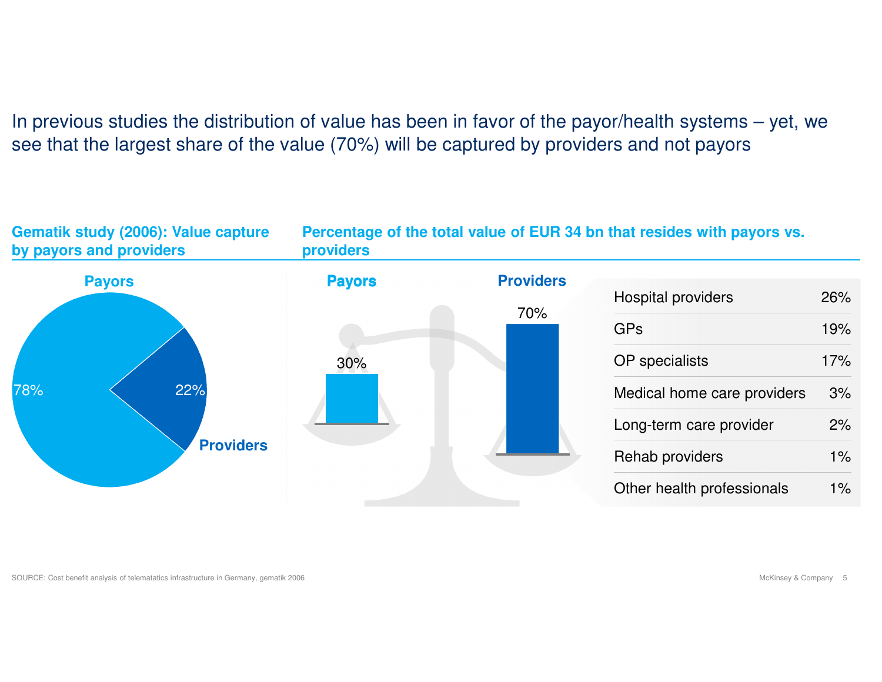In previous studies the distribution of value has been in favor of the payor/health systems – yet, we see that the largest share of the value (70%) will be captured by providers and not payors

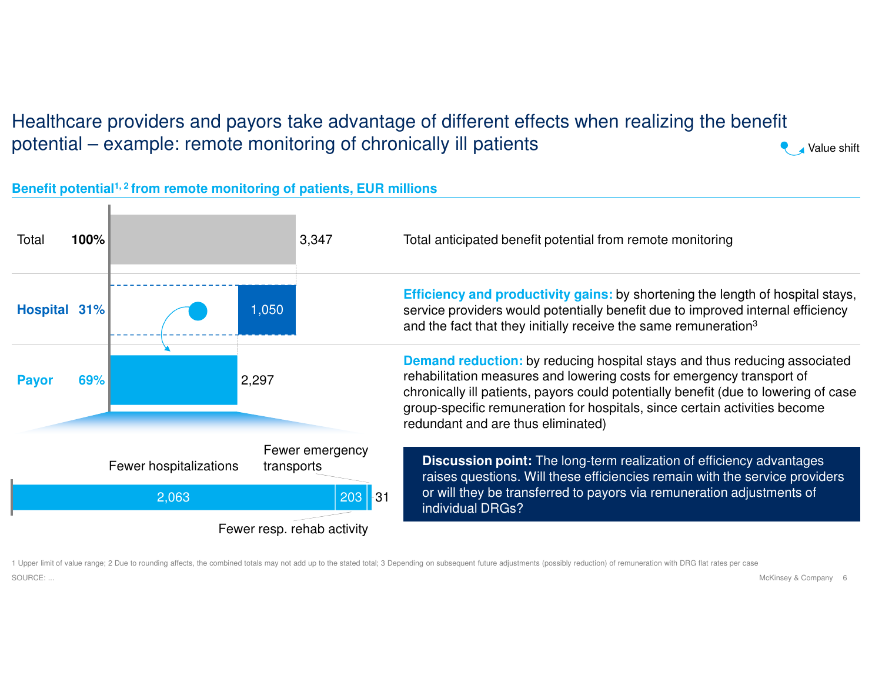#### Healthcare providers and payors take advantage of different effects when realizing the benefit potential – example: remote monitoring of chronically ill patients

#### **Benefit potential1, 2 from remote monitoring of patients, EUR millions**



1 Upper limit of value range; 2 Due to rounding affects, the combined totals may not add up to the stated total; 3 Depending on subsequent future adjustments (possibly reduction) of remuneration with DRG flat rates per case SOURCE: ...

McKinsey & Company 6

Value shift